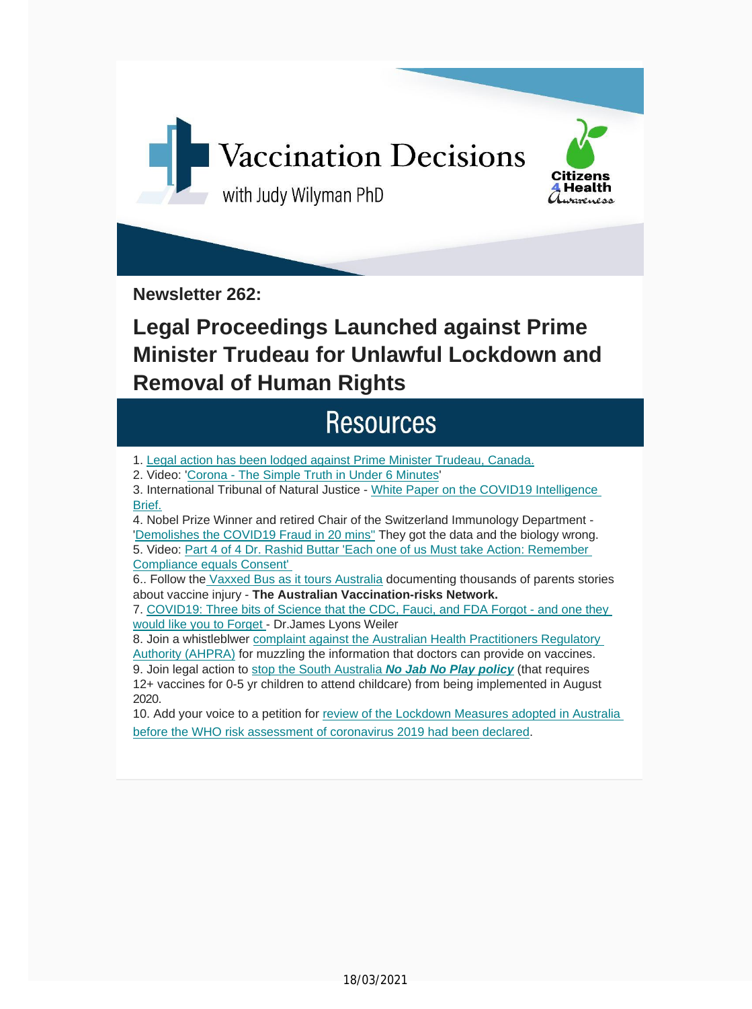

**Newsletter 262:**

## **Legal Proceedings Launched against Prime Minister Trudeau for Unlawful Lockdown and Removal of Human Rights**

### **Resources**

1. Legal action has been lodged against Prime Minister [Trudeau,](https://vaccinationdecisions.us8.list-manage.com/track/click?u=f20605fde3732e41929f4a3f2&id=1b2473c4e8&e=6b3f8c9022) Canada.

2. Video: 'Corona - The Simple Truth in Under 6 [Minutes'](https://vaccinationdecisions.us8.list-manage.com/track/click?u=f20605fde3732e41929f4a3f2&id=acad51c733&e=6b3f8c9022)

3. International Tribunal of Natural Justice - White Paper on the COVID19 [Intelligence](https://vaccinationdecisions.us8.list-manage.com/track/click?u=f20605fde3732e41929f4a3f2&id=0b6de2cdbd&e=6b3f8c9022) [Brief.](https://vaccinationdecisions.us8.list-manage.com/track/click?u=f20605fde3732e41929f4a3f2&id=0b6de2cdbd&e=6b3f8c9022)

4. Nobel Prize Winner and retired Chair of the Switzerland Immunology Department - 'Demolishes the COVID19 Fraud in 20 mins" They got the data and the biology wrong. 5. Video: Part 4 of 4 Dr. [Rashid](https://vaccinationdecisions.us8.list-manage.com/track/click?u=f20605fde3732e41929f4a3f2&id=4dc2e744f3&e=6b3f8c9022) Buttar 'Each one of us Must take Action: Remember Compliance equals [Consent'](https://vaccinationdecisions.us8.list-manage.com/track/click?u=f20605fde3732e41929f4a3f2&id=c3aaf8a99b&e=6b3f8c9022)

6.. Follow the [Vaxxed](https://vaccinationdecisions.us8.list-manage.com/track/click?u=f20605fde3732e41929f4a3f2&id=c3aaf8a99b&e=6b3f8c9022) Bus as it tours Australia documenting thousands of parents stories about vaccine injury - **The Australian [Vaccination](https://vaccinationdecisions.us8.list-manage.com/track/click?u=f20605fde3732e41929f4a3f2&id=274d417fca&e=6b3f8c9022)-risks Network.**

7. COVID19: Three bits of Science that the CDC, Fauci, and FDA Forgot - and one they would like you to Forget - [Dr.James](https://vaccinationdecisions.us8.list-manage.com/track/click?u=f20605fde3732e41929f4a3f2&id=01c974e92e&e=6b3f8c9022) Lyons Weiler

8. Join a [whistleblwer](https://vaccinationdecisions.us8.list-manage.com/track/click?u=f20605fde3732e41929f4a3f2&id=01c974e92e&e=6b3f8c9022) complaint against the Australian Health Practitioners Regulatory Authority (AHPRA) for muzzling the [information](https://vaccinationdecisions.us8.list-manage.com/track/click?u=f20605fde3732e41929f4a3f2&id=078e1d776a&e=6b3f8c9022) that doctors can provide on vaccines.

9. Join legal [action](https://vaccinationdecisions.us8.list-manage.com/track/click?u=f20605fde3732e41929f4a3f2&id=078e1d776a&e=6b3f8c9022) to stop the South Australia *No Jab No Play policy* (that requires 12+ vaccines for 0-5 yr children to attend childcare) from being [implemented](https://vaccinationdecisions.us8.list-manage.com/track/click?u=f20605fde3732e41929f4a3f2&id=ce9e57cb86&e=6b3f8c9022) in August 2020.

10. Add your voice to a petition for review of the Lockdown Measures adopted in Australia before the WHO risk assessment of coronavirus 2019 had been [declared.](https://vaccinationdecisions.us8.list-manage.com/track/click?u=f20605fde3732e41929f4a3f2&id=a288e03e6c&e=6b3f8c9022)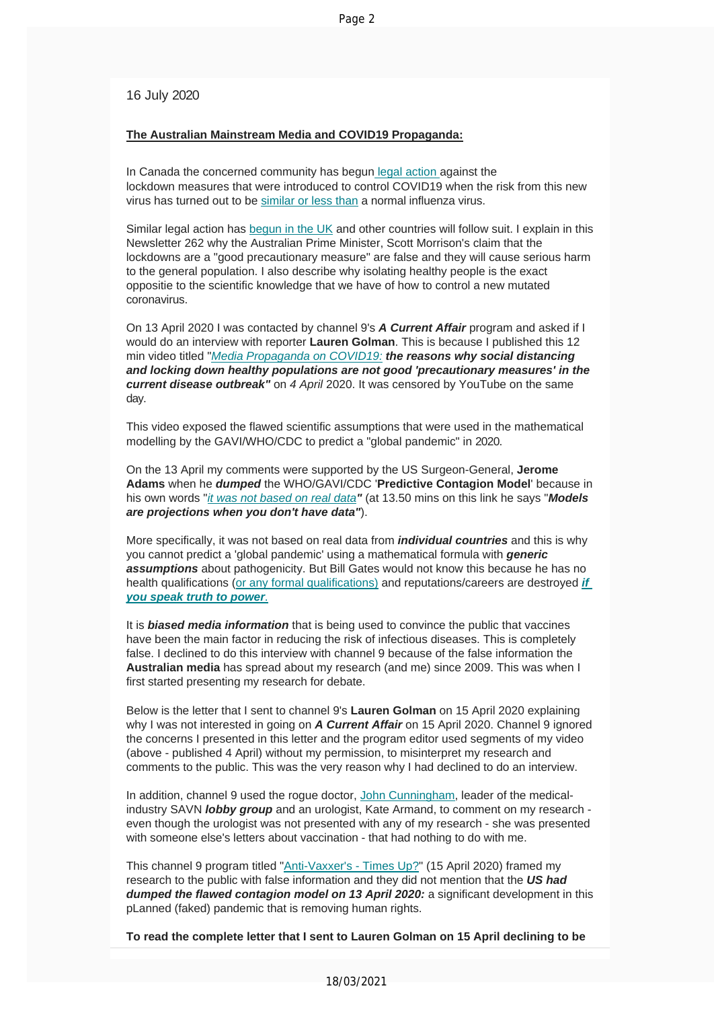16 July 2020

#### **The Australian Mainstream Media and COVID19 P[ropaganda:](https://vaccinationdecisions.us8.list-manage.com/track/click?u=f20605fde3732e41929f4a3f2&id=fbfe4d373a&e=6b3f8c9022)**

In Canada the concerned co[mmunity has begun](https://vaccinationdecisions.us8.list-manage.com/track/click?u=f20605fde3732e41929f4a3f2&id=e6fcf19cd3&e=6b3f8c9022) legal action against the lockdown measures that were introduced to control COVID19 when the risk from this new virus has turned out to be [similar or less than](https://vaccinationdecisions.us8.list-manage.com/track/click?u=f20605fde3732e41929f4a3f2&id=3e1c86286d&e=6b3f8c9022) a normal influenza virus.

Similar legal action has begun in the UK and other countries will follow suit. I explain in this Newsletter 262 why the Australian Prime Minister, Scott Morrison's claim that the lockdowns are a "good precautionary measure" are false and they will cause serious harm to the general population. I also describe why isolating healthy people is the exact oppositie to the scientific knowledge that we have of how to control a new mutated coronavirus.

On 13 April 2020 I was contacted by channel 9's *A Current Affair* program and asked if I would do an intervi[ew with reporter](https://vaccinationdecisions.us8.list-manage.com/track/click?u=f20605fde3732e41929f4a3f2&id=81007ca307&e=6b3f8c9022) **Lauren Golman**. This is because I published this 12 min video titled "*Media Propaganda on COVID19: the reasons why social distancing and locking down healthy populations are not good 'precautionary measures' in the current disease outbreak"* on *4 April* 2020. It was censored by YouTube on the same day.

This video exposed the flawed scientific assumptions that were used in the mathematical modelling by the GAVI/WHO/CDC to predict a "global pandemic" in 2020.

On the 13 April my comments were supported by the US Surgeon-General, **Jerome Adams** when he *dumped* the WHO/GAVI/CDC '**Predictive Contagion Model**' because in his own words "*it [was not based on real data](https://vaccinationdecisions.us8.list-manage.com/track/click?u=f20605fde3732e41929f4a3f2&id=bf153dfce4&e=6b3f8c9022)"* (at 13.50 mins on this link he says "*Models are projections when you don't have data"*).

More specifically, it was not based on real data from *individual countries* and this is why you cannot predict a 'global pandemic' using a mathematical formula with *generic assumptions* about pathogenicity. But Bill Gates would not know this because he has no health qualifications (or [any formal qualifications\)](https://vaccinationdecisions.us8.list-manage.com/track/click?u=f20605fde3732e41929f4a3f2&id=c39175d528&e=6b3f8c9022) and reputations/careers are destroyed *if [you speak truth to power](https://vaccinationdecisions.us8.list-manage.com/track/click?u=f20605fde3732e41929f4a3f2&id=0351d0270f&e=6b3f8c9022)*.

It is *biased media information* that is being used to convince the public that vaccines have been the main factor in reducing the risk of infectious diseases. This is completely false. I declined to do this interview with channel 9 because of the false information the **Australian media** has spread about my research (and me) since 2009. This was when I first started presenting my research for debate.

Below is the letter that I sent to channel 9's **Lauren Golman** on 15 April 2020 explaining why I was not interested in going on *A Current Affair* on 15 April 2020. Channel 9 ignored the concerns I presented in this letter and the program editor used segments of my video (above - published 4 April) without my permission, to misinterpret my research and comments to the public. This was the very reason why I had declined to do an interview.

In addition, channel 9 used the rogue doctor, John Cunningham, leader of the medicalindustry SAVN *lobby group* and an urologist, Kat[e Armand, to comme](https://vaccinationdecisions.us8.list-manage.com/track/click?u=f20605fde3732e41929f4a3f2&id=e7142972ef&e=6b3f8c9022)nt on my research even though the urologist was not presented with any of my research - she was presented with someone else's letters about vaccination - that had nothing to do with me.

This channel 9 program titled "Anti-Vaxxer's - Times Up?" (15 April 2020) framed my research to the public with false information and they did not mention that the *US had dumped the flawed contagion [model on 13 April 2020:](https://vaccinationdecisions.us8.list-manage.com/track/click?u=f20605fde3732e41929f4a3f2&id=0576b2f250&e=6b3f8c9022)* a significant development in this pLanned (faked) pandemic that is removing human rights.

**To read the complete letter that I sent to Lauren Golman on 15 April declining to be**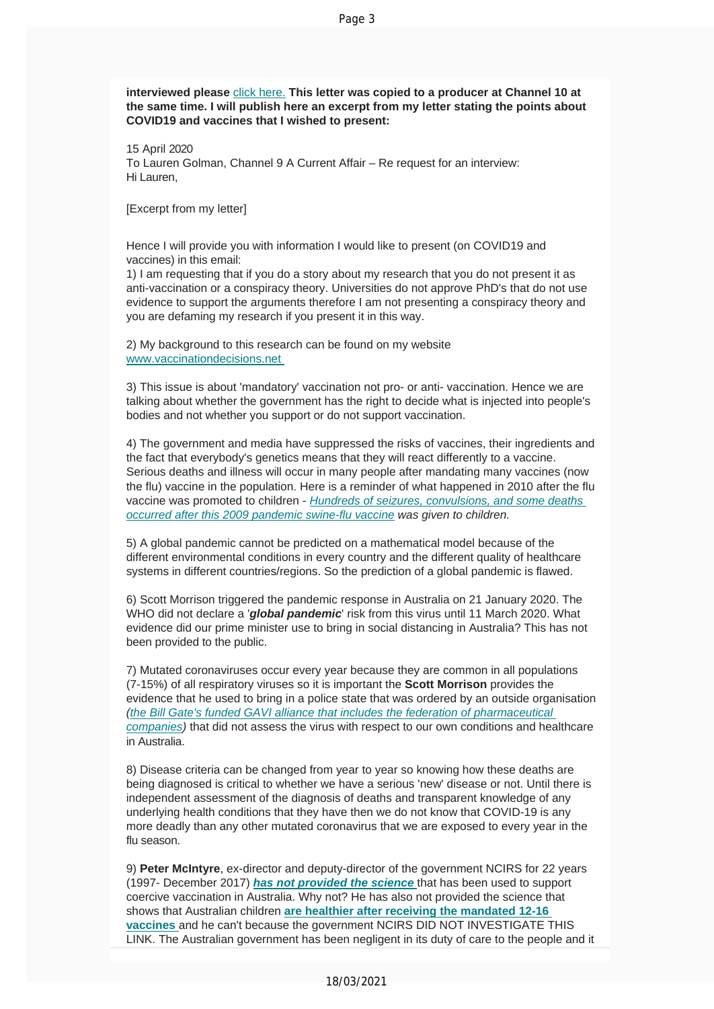#### **interviewed please** click here. **This letter was copied to a producer at Channel 10 at the same time. I will publish here an excerpt from my letter stating the points about COVID19 and vaccines that I wished to present:**

15 April 2020 To Lauren Golman, Channel 9 A Current Affair – Re request for an interview: Hi Lauren,

[Excerpt from my letter]

Hence I will provide you with information I would like to present (on COVID19 and vaccines) in this email:

1) I am requesting that if you do a story about my research that you do not present it as anti-vaccination or a conspiracy theory. Universities do not approve PhD's that do not use evidence to support the arguments therefore I am not presenting a conspiracy theory and you are defaming my research if you present it in this way.

[2\) My background to this research](https://vaccinationdecisions.us8.list-manage.com/track/click?u=f20605fde3732e41929f4a3f2&id=46bc5cb7ad&e=6b3f8c9022) can be found on my website www.vaccinationdecisions.net

3) This issue is about 'mandatory' vaccination not pro- or anti- vaccination. Hence we are talking about whether the government has the right to decide what is injected into people's bodies and not whether you support or do not support vaccination.

4) The government and media have suppressed the risks of vaccines, their ingredients and the fact that everybody's genetics means that they will react differently to a vaccine. Serious deaths and illness will occur in many people after mandating many vaccines (now the flu) vaccine in the population. Here is a reminder of what happened in 2010 after the flu vaccine was promoted to children - *Hu[ndreds of seizures, convulsions, and some deaths](https://vaccinationdecisions.us8.list-manage.com/track/click?u=f20605fde3732e41929f4a3f2&id=a5fd66acd6&e=6b3f8c9022)  [occurred after this 2009 pandemic swine-flu vaccine](https://vaccinationdecisions.us8.list-manage.com/track/click?u=f20605fde3732e41929f4a3f2&id=a5fd66acd6&e=6b3f8c9022) was given to children.*

5) A global pandemic cannot be predicted on a mathematical model because of the different environmental conditions in every country and the different quality of healthcare systems in different countries/regions. So the prediction of a global pandemic is flawed.

6) Scott Morrison triggered the pandemic response in Australia on 21 January 2020. The WHO did not declare a '*global pandemic*' risk from this virus until 11 March 2020. What evidence did our prime minister use to bring in social distancing in Australia? This has not been provided to the public.

7) Mutated coronaviruses occur every year because they are common in all populations (7-15%) of all respiratory viruses so it is important the **Scott Morrison** provides the evidence that he used to bring in a police state that was ordered by an outside organisation *(the Bill Gate's funded GAVI alliance that includes the federation of pharmaceutical companies)* [that did not assess the virus with respect to our own conditions and healthcare](https://vaccinationdecisions.us8.list-manage.com/track/click?u=f20605fde3732e41929f4a3f2&id=24ae8a8861&e=6b3f8c9022) i[n Australia.](https://vaccinationdecisions.us8.list-manage.com/track/click?u=f20605fde3732e41929f4a3f2&id=24ae8a8861&e=6b3f8c9022)

8) Disease criteria can be changed from year to year so knowing how these deaths are being diagnosed is critical to whether we have a serious 'new' disease or not. Until there is independent assessment of the diagnosis of deaths and transparent knowledge of any underlying health conditions that they have then we do not know that COVID-19 is any more deadly than any other mutated coronavirus that we are exposed to every year in the flu season.

9) **Peter McIntyre**, ex-director and deputy-director of the government NCIRS for 22 years (1997- December 2017) *has not provided the science* that has been used to support coercive vaccination in Australia. Why not? He has also not provided the science that shows that Australian children **[are healthier after receiving th](https://vaccinationdecisions.us8.list-manage.com/track/click?u=f20605fde3732e41929f4a3f2&id=638ecc42af&e=6b3f8c9022)e mandated 12-16 vaccines** and he can't because the government NCIRS DID NOT INVESTIGATE THIS LINK. The Australian government [has been negligent in its duty of care to the people and](https://vaccinationdecisions.us8.list-manage.com/track/click?u=f20605fde3732e41929f4a3f2&id=70aa256928&e=6b3f8c9022) it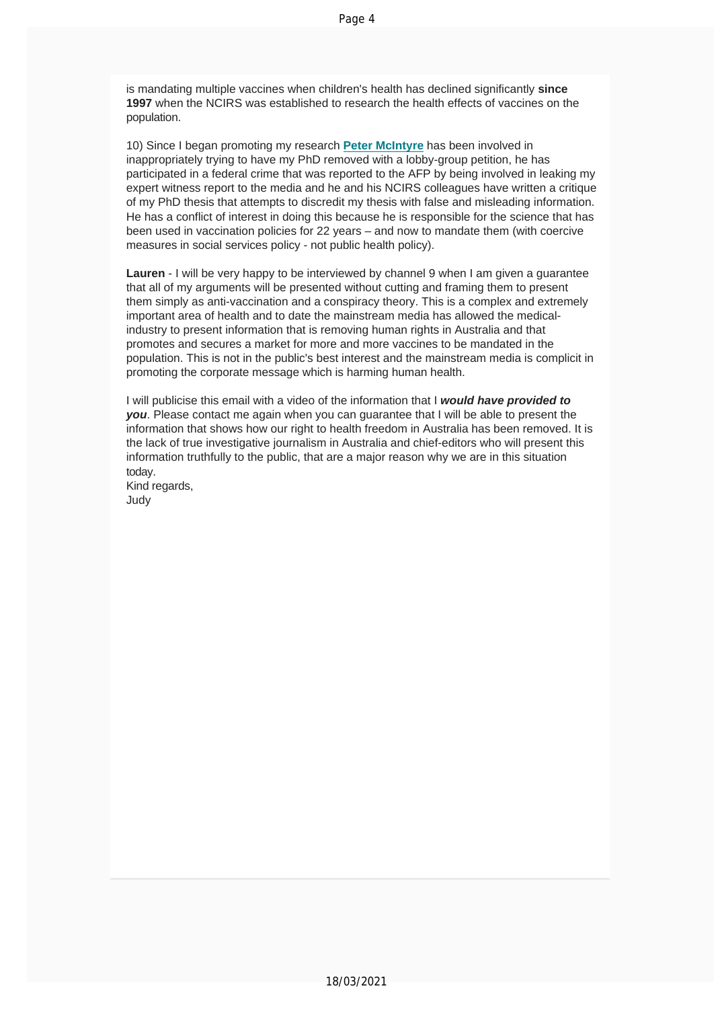is mandating multiple vaccines when children's health has declined significantly **since 1997** when the NCIRS was established to research the health effects of vaccines on the population.

10) Since I began promoting my research **Peter McIntyre** has been involved in inappropriately trying to have my PhD removed with a lobby-group petition, he has participated in a federal crime that was reported to the AFP by being involved in leaking my expert witness report to the media and he and his NCIRS colleagues have written a critique of my PhD thesis that attempts to discredit my thesis with false and misleading information. He has a conflict of interest in doing this because he is responsible for the science that has been used in vaccination policies for 22 years – and now to mandate them (with coercive measures in social services policy - not public health policy).

**Lauren** - I will be very happy to be interviewed by channel 9 when I am given a guarantee that all of my arguments will be presented without cutting and framing them to present them simply as anti-vaccination and a conspiracy theory. This is a complex and extremely important area of health and to date the mainstream media has allowed the medicalindustry to present information that is removing human rights in Australia and that promotes and secures a market for more and more vaccines to be mandated in the population. This is not in the public's best interest and the mainstream media is complicit in promoting the corporate message which is harming human health.

I will publicise this email with a video of the information that I *would have provided to you*. Please contact me again when you can guarantee that I will be able to present the information that shows how our right to health freedom in Australia has been removed. It is the lack of true investigative journalism in Australia and chief-editors who will present this information truthfully to the public, that are a major reason why we are in this situation today.

Kind regards, Judy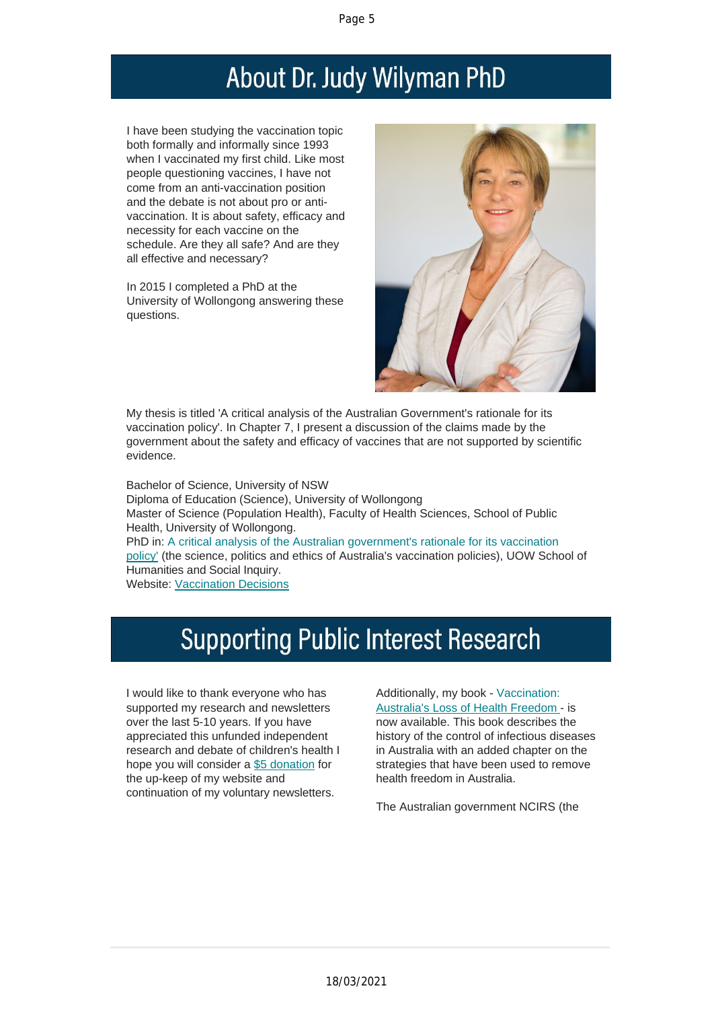# About Dr. Judy Wilyman PhD

I have been studying the vaccination topic both formally and informally since 1993 when I vaccinated my first child. Like most people questioning vaccines, I have not come from an anti-vaccination position and the debate is not about pro or antivaccination. It is about safety, efficacy and necessity for each vaccine on the schedule. Are they all safe? And are they all effective and necessary?

In 2015 I completed a PhD at the University of Wollongong answering these questions.



My thesis is titled 'A critical analysis of the Australian Government's rationale for its vaccination policy'. In Chapter 7, I present a discussion of the claims made by the government about the safety and efficacy of vaccines that are not supported by scientific evidence.

Bachelor of Science, University of NSW Diploma of Education (Science), University of Wollongong Master of Science (Population Health), Faculty of Health Sciences, School of Public Health, University of Wollongong. PhD in: A critical analysis of the Australian government's rationale for its vaccination policy' (the science, politics and ethics of Australia's vaccination policies), UOW School of Humanities and Social Inquiry. Website: Vaccination Decisions

## **Supporting Public Interest Research**

I would like to thank everyone who has supported my research and newsletters over the last 5-10 years. If you have [apprecia](https://vaccinationdecisions.us8.list-manage.com/track/click?u=f20605fde3732e41929f4a3f2&id=5fbca50e0c&e=6b3f8c9022)ted this unfunded independent research and debate of children's health I hope you will [consider](https://vaccinationdecisions.us8.list-manage.com/track/click?u=f20605fde3732e41929f4a3f2&id=2c3c49cd51&e=6b3f8c9022) a \$5 donation for the up-keep of my website and continuation of my voluntary newsletters.

Additionally, my book - Vaccination: Australia's Loss of Health Freedom - is now available. This book describes the history of the control of infectious diseases in Australia with an added chapter on the strategies that have been used to remove health freedom in Australia.

The Australian government NCIRS (the